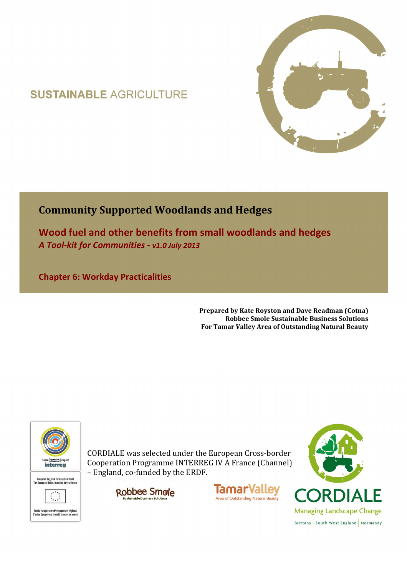# **SUSTAINABLE AGRICULTURE**



## **Community Supported Woodlands and Hedges**

**Wood fuel and other benefits from small woodlands and hedges**  *A Tool-kit for Communities - v1.0 July 2013*

**Chapter 6: Workday Practicalities** 

**Prepared by Kate Royston and Dave Readman (Cotna) Robbee Smole Sustainable Business Solutions For Tamar Valley Area of Outstanding Natural Beauty**



CORDIALE was selected under the European Cross-border Cooperation Programme INTERREG IV A France (Channel) – England, co-funded by the ERDF.





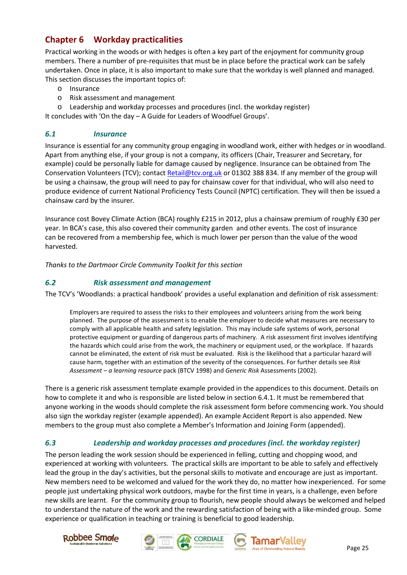### **Chapter 6 Workday practicalities**

Practical working in the woods or with hedges is often a key part of the enjoyment for community group members. There a number of pre-requisites that must be in place before the practical work can be safely undertaken. Once in place, it is also important to make sure that the workday is well planned and managed. This section discusses the important topics of:

- o Insurance
- o Risk assessment and management
- o Leadership and workday processes and procedures (incl. the workday register)

It concludes with 'On the day – A Guide for Leaders of Woodfuel Groups'.

#### *6.1 Insurance*

Insurance is essential for any community group engaging in woodland work, either with hedges or in woodland. Apart from anything else, if your group is not a company, its officers (Chair, Treasurer and Secretary, for example) could be personally liable for damage caused by negligence. Insurance can be obtained from The Conservation Volunteers (TCV); contact Retail@tcv.org.uk or 01302 388 834. If any member of the group will be using a chainsaw, the group will need to pay for chainsaw cover for that individual, who will also need to produce evidence of current National Proficiency Tests Council (NPTC) certification. They will then be issued a chainsaw card by the insurer.

Insurance cost Bovey Climate Action (BCA) roughly £215 in 2012, plus a chainsaw premium of roughly £30 per year. In BCA's case, this also covered their community garden and other events. The cost of insurance can be recovered from a membership fee, which is much lower per person than the value of the wood harvested.

*Thanks to the Dartmoor Circle Community Toolkit for this section* 

#### *6.2 Risk assessment and management*

The TCV's 'Woodlands: a practical handbook' provides a useful explanation and definition of risk assessment:

Employers are required to assess the risks to their employees and volunteers arising from the work being planned. The purpose of the assessment is to enable the employer to decide what measures are necessary to comply with all applicable health and safety legislation. This may include safe systems of work, personal protective equipment or guarding of dangerous parts of machinery. A risk assessment first involves identifying the hazards which could arise from the work, the machinery or equipment used, or the workplace. If hazards cannot be eliminated, the extent of risk must be evaluated. Risk is the likelihood that a particular hazard will cause harm, together with an estimation of the severity of the consequences. For further details see *Risk Assessment – a learning resource* pack (BTCV 1998) and *Generic Risk* Assessments (2002).

There is a generic risk assessment template example provided in the appendices to this document. Details on how to complete it and who is responsible are listed below in section 6.4.1. It must be remembered that anyone working in the woods should complete the risk assessment form before commencing work. You should also sign the workday register (example appended). An example Accident Report is also appended. New members to the group must also complete a Member's Information and Joining Form (appended).

#### *6.3 Leadership and workday processes and procedures (incl. the workday register)*

The person leading the work session should be experienced in felling, cutting and chopping wood, and experienced at working with volunteers. The practical skills are important to be able to safely and effectively lead the group in the day's activities, but the personal skills to motivate and encourage are just as important. New members need to be welcomed and valued for the work they do, no matter how inexperienced. For some people just undertaking physical work outdoors, maybe for the first time in years, is a challenge, even before new skills are learnt. For the community group to flourish, new people should always be welcomed and helped to understand the nature of the work and the rewarding satisfaction of being with a like-minded group. Some experience or qualification in teaching or training is beneficial to good leadership.







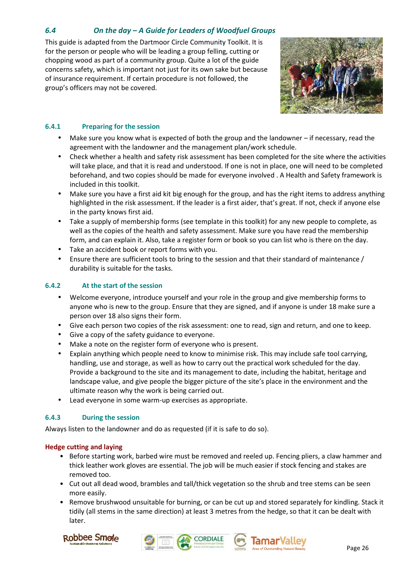#### *6.4 On the day – A Guide for Leaders of Woodfuel Groups*

This guide is adapted from the Dartmoor Circle Community Toolkit. It is for the person or people who will be leading a group felling, cutting or chopping wood as part of a community group. Quite a lot of the guide concerns safety, which is important not just for its own sake but because of insurance requirement. If certain procedure is not followed, the group's officers may not be covered.



#### **6.4.1 Preparing for the session**

- Make sure you know what is expected of both the group and the landowner if necessary, read the agreement with the landowner and the management plan/work schedule.
- Check whether a health and safety risk assessment has been completed for the site where the activities will take place, and that it is read and understood. If one is not in place, one will need to be completed beforehand, and two copies should be made for everyone involved . A Health and Safety framework is included in this toolkit.
- Make sure you have a first aid kit big enough for the group, and has the right items to address anything highlighted in the risk assessment. If the leader is a first aider, that's great. If not, check if anyone else in the party knows first aid.
- Take a supply of membership forms (see template in this toolkit) for any new people to complete, as well as the copies of the health and safety assessment. Make sure you have read the membership form, and can explain it. Also, take a register form or book so you can list who is there on the day.
- Take an accident book or report forms with you.
- Ensure there are sufficient tools to bring to the session and that their standard of maintenance / durability is suitable for the tasks.

#### **6.4.2 At the start of the session**

- Welcome everyone, introduce yourself and your role in the group and give membership forms to anyone who is new to the group. Ensure that they are signed, and if anyone is under 18 make sure a person over 18 also signs their form.
- Give each person two copies of the risk assessment: one to read, sign and return, and one to keep.
- Give a copy of the safety guidance to everyone.
- Make a note on the register form of everyone who is present.
- Explain anything which people need to know to minimise risk. This may include safe tool carrying, handling, use and storage, as well as how to carry out the practical work scheduled for the day. Provide a background to the site and its management to date, including the habitat, heritage and landscape value, and give people the bigger picture of the site's place in the environment and the ultimate reason why the work is being carried out.
- Lead everyone in some warm-up exercises as appropriate.

#### **6.4.3 During the session**

Always listen to the landowner and do as requested (if it is safe to do so).

#### **Hedge cutting and laying**

- Before starting work, barbed wire must be removed and reeled up. Fencing pliers, a claw hammer and thick leather work gloves are essential. The job will be much easier if stock fencing and stakes are removed too.
- Cut out all dead wood, brambles and tall/thick vegetation so the shrub and tree stems can be seen more easily.
- Remove brushwood unsuitable for burning, or can be cut up and stored separately for kindling. Stack it tidily (all stems in the same direction) at least 3 metres from the hedge, so that it can be dealt with later.





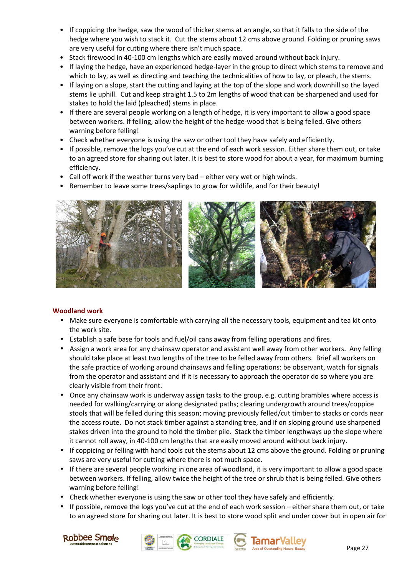- If coppicing the hedge, saw the wood of thicker stems at an angle, so that it falls to the side of the hedge where you wish to stack it. Cut the stems about 12 cms above ground. Folding or pruning saws are very useful for cutting where there isn't much space.
- Stack firewood in 40-100 cm lengths which are easily moved around without back injury.
- If laying the hedge, have an experienced hedge-layer in the group to direct which stems to remove and which to lay, as well as directing and teaching the technicalities of how to lay, or pleach, the stems.
- If laying on a slope, start the cutting and laying at the top of the slope and work downhill so the layed stems lie uphill. Cut and keep straight 1.5 to 2m lengths of wood that can be sharpened and used for stakes to hold the laid (pleached) stems in place.
- If there are several people working on a length of hedge, it is very important to allow a good space between workers. If felling, allow the height of the hedge-wood that is being felled. Give others warning before felling!
- Check whether everyone is using the saw or other tool they have safely and efficiently.
- If possible, remove the logs you've cut at the end of each work session. Either share them out, or take to an agreed store for sharing out later. It is best to store wood for about a year, for maximum burning efficiency.
- Call off work if the weather turns very bad either very wet or high winds.
- Remember to leave some trees/saplings to grow for wildlife, and for their beauty!



#### **Woodland work**

- Make sure everyone is comfortable with carrying all the necessary tools, equipment and tea kit onto the work site.
- Establish a safe base for tools and fuel/oil cans away from felling operations and fires.
- Assign a work area for any chainsaw operator and assistant well away from other workers. Any felling should take place at least two lengths of the tree to be felled away from others. Brief all workers on the safe practice of working around chainsaws and felling operations: be observant, watch for signals from the operator and assistant and if it is necessary to approach the operator do so where you are clearly visible from their front.
- Once any chainsaw work is underway assign tasks to the group, e.g. cutting brambles where access is needed for walking/carrying or along designated paths; clearing undergrowth around trees/coppice stools that will be felled during this season; moving previously felled/cut timber to stacks or cords near the access route. Do not stack timber against a standing tree, and if on sloping ground use sharpened stakes driven into the ground to hold the timber pile. Stack the timber lengthways up the slope where it cannot roll away, in 40-100 cm lengths that are easily moved around without back injury.
- If coppicing or felling with hand tools cut the stems about 12 cms above the ground. Folding or pruning saws are very useful for cutting where there is not much space.
- If there are several people working in one area of woodland, it is very important to allow a good space between workers. If felling, allow twice the height of the tree or shrub that is being felled. Give others warning before felling!
- Check whether everyone is using the saw or other tool they have safely and efficiently.
- If possible, remove the logs you've cut at the end of each work session either share them out, or take to an agreed store for sharing out later. It is best to store wood split and under cover but in open air for